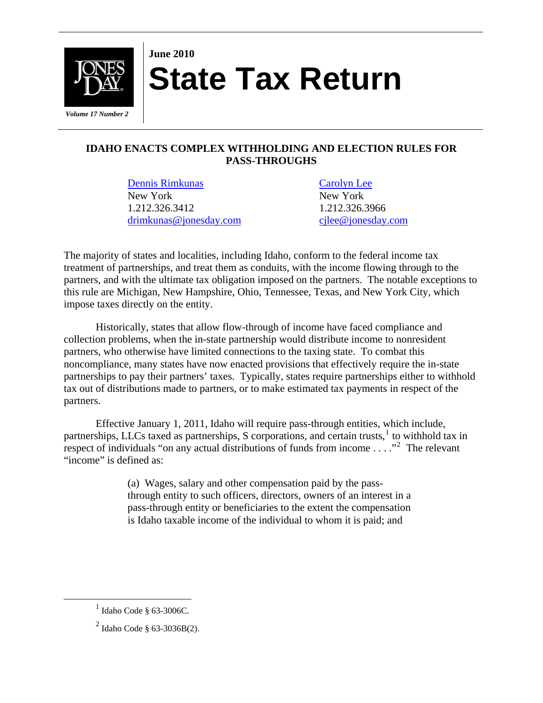

## **June 2010 State Tax Return**

## **IDAHO ENACTS COMPLEX WITHHOLDING AND ELECTION RULES FOR PASS-THROUGHS**

[Dennis Rimkunas](http://www.jonesday.com/drimkunas/) [Carolyn Lee](http://www.jonesday.com/cjlee/) New York New York 1.212.326.3412 1.212.326.3966 [drimkunas@jonesday.com](mailto:drimkunas@jonesday.com) [cjlee@jonesday.com](mailto:cjlee@jonesday.com) 

The majority of states and localities, including Idaho, conform to the federal income tax treatment of partnerships, and treat them as conduits, with the income flowing through to the partners, and with the ultimate tax obligation imposed on the partners. The notable exceptions to this rule are Michigan, New Hampshire, Ohio, Tennessee, Texas, and New York City, which impose taxes directly on the entity.

Historically, states that allow flow-through of income have faced compliance and collection problems, when the in-state partnership would distribute income to nonresident partners, who otherwise have limited connections to the taxing state. To combat this noncompliance, many states have now enacted provisions that effectively require the in-state partnerships to pay their partners' taxes. Typically, states require partnerships either to withhold tax out of distributions made to partners, or to make estimated tax payments in respect of the partners.

Effective January 1, 2011, Idaho will require pass-through entities, which include, partnerships, LLCs taxed as partnerships, S corporations, and certain trusts,<sup>[1](#page-0-0)</sup> to withhold tax in respect of individuals "on any actual distributions of funds from income  $\dots$ ."<sup>[2](#page-0-1)</sup> The relevant "income" is defined as:

> (a) Wages, salary and other compensation paid by the passthrough entity to such officers, directors, owners of an interest in a pass-through entity or beneficiaries to the extent the compensation is Idaho taxable income of the individual to whom it is paid; and

<span id="page-0-1"></span><span id="page-0-0"></span><sup>&</sup>lt;u>1</u>  $<sup>1</sup>$  Idaho Code § 63-3006C.</sup>

 $^{2}$  Idaho Code § 63-3036B(2).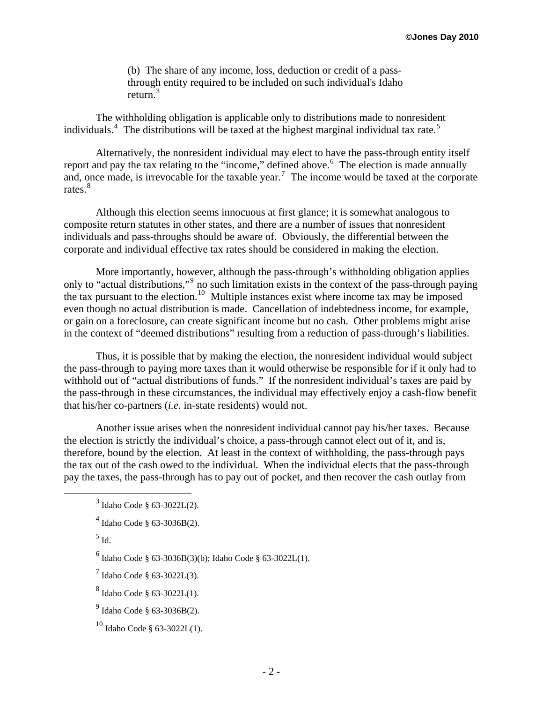(b) The share of any income, loss, deduction or credit of a passthrough entity required to be included on such individual's Idaho return.<sup>[3](#page-1-0)</sup>

The withholding obligation is applicable only to distributions made to nonresident individuals.<sup>[4](#page-1-1)</sup> The distributions will be taxed at the highest marginal individual tax rate.<sup>[5](#page-1-2)</sup>

Alternatively, the nonresident individual may elect to have the pass-through entity itself report and pay the tax relating to the "income," defined above.<sup>[6](#page-1-3)</sup> The election is made annually and, once made, is irrevocable for the taxable year.<sup>[7](#page-1-4)</sup> The income would be taxed at the corporate rates.<sup>[8](#page-1-5)</sup>

Although this election seems innocuous at first glance; it is somewhat analogous to composite return statutes in other states, and there are a number of issues that nonresident individuals and pass-throughs should be aware of. Obviously, the differential between the corporate and individual effective tax rates should be considered in making the election.

More importantly, however, although the pass-through's withholding obligation applies only to "actual distributions,"<sup>[9](#page-1-6)</sup> no such limitation exists in the context of the pass-through paying the tax pursuant to the election.<sup>[10](#page-1-7)</sup> Multiple instances exist where income tax may be imposed even though no actual distribution is made. Cancellation of indebtedness income, for example, or gain on a foreclosure, can create significant income but no cash. Other problems might arise in the context of "deemed distributions" resulting from a reduction of pass-through's liabilities.

Thus, it is possible that by making the election, the nonresident individual would subject the pass-through to paying more taxes than it would otherwise be responsible for if it only had to withhold out of "actual distributions of funds." If the nonresident individual's taxes are paid by the pass-through in these circumstances, the individual may effectively enjoy a cash-flow benefit that his/her co-partners (*i.e.* in-state residents) would not.

Another issue arises when the nonresident individual cannot pay his/her taxes. Because the election is strictly the individual's choice, a pass-through cannot elect out of it, and is, therefore, bound by the election. At least in the context of withholding, the pass-through pays the tax out of the cash owed to the individual. When the individual elects that the pass-through pay the taxes, the pass-through has to pay out of pocket, and then recover the cash outlay from

 $6$  Idaho Code § 63-3036B(3)(b); Idaho Code § 63-3022L(1).

<span id="page-1-4"></span>7 Idaho Code § 63-3022L(3).

<span id="page-1-5"></span> $^8$  Idaho Code § 63-3022L(1).

<span id="page-1-7"></span> $10$  Idaho Code § 63-3022L(1).

<span id="page-1-3"></span><span id="page-1-2"></span><span id="page-1-1"></span><span id="page-1-0"></span> $\frac{1}{3}$  $3$  Idaho Code § 63-3022L(2).

<sup>4</sup> Idaho Code § 63-3036B(2).

 $<sup>5</sup>$  Id.</sup>

<span id="page-1-6"></span> $^{9}$  Idaho Code § 63-3036B(2).